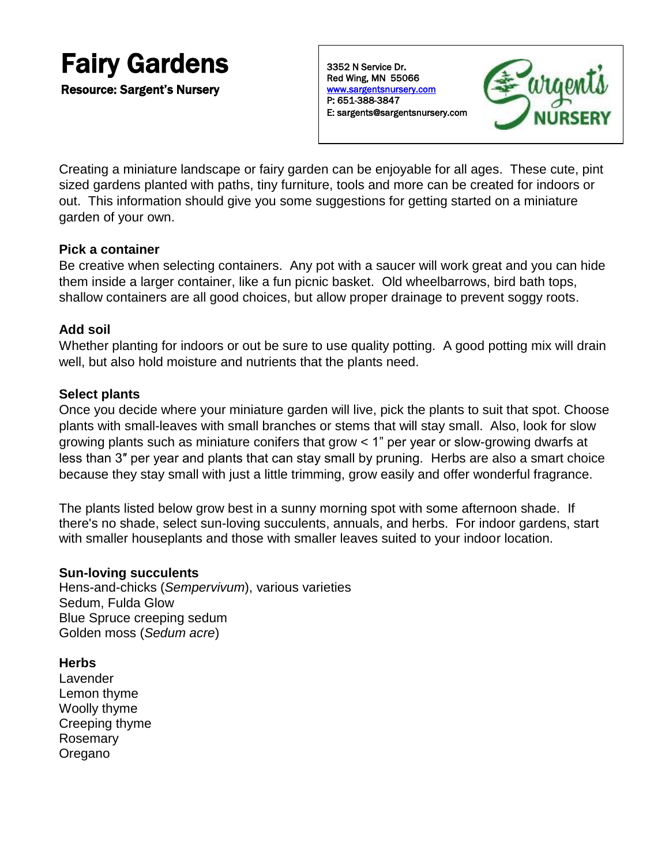# Fairy Gardens

Resource: Sargent's Nursery

3352 N Service Dr. Red Wing, MN 55066 [www.sargentsnursery.com](http://www.sargentsnursery.com/)  P: 651-388-3847 E: sargents@sargentsnursery.com



Creating a miniature landscape or fairy garden can be enjoyable for all ages. These cute, pint sized gardens planted with paths, tiny furniture, tools and more can be created for indoors or out. This information should give you some suggestions for getting started on a miniature garden of your own.

# **Pick a container**

Be creative when selecting containers. Any pot with a saucer will work great and you can hide them inside a larger container, like a fun picnic basket. Old wheelbarrows, bird bath tops, shallow containers are all good choices, but allow proper drainage to prevent soggy roots.

# **Add soil**

Whether planting for indoors or out be sure to use quality potting. A good potting mix will drain well, but also hold moisture and nutrients that the plants need.

# **Select plants**

Once you decide where your miniature garden will live, pick the plants to suit that spot. Choose plants with small-leaves with small branches or stems that will stay small. Also, look for slow growing plants such as miniature conifers that grow < 1" per year or slow-growing dwarfs at less than 3″ per year and plants that can stay small by pruning. Herbs are also a smart choice because they stay small with just a little trimming, grow easily and offer wonderful fragrance.

The plants listed below grow best in a sunny morning spot with some afternoon shade. If there's no shade, select sun-loving succulents, annuals, and herbs. For indoor gardens, start with smaller houseplants and those with smaller leaves suited to your indoor location.

## **Sun-loving succulents**

Hens-and-chicks (*Sempervivum*), various varieties Sedum, Fulda Glow Blue Spruce creeping sedum Golden moss (*Sedum acre*)

**Herbs**

Lavender Lemon thyme Woolly thyme Creeping thyme Rosemary Oregano